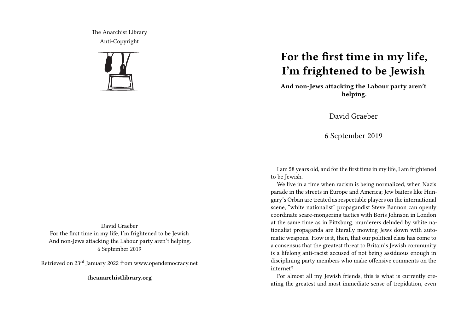The Anarchist Library Anti-Copyright



## **For the first time in my life, I'm frightened to be Jewish**

**And non-Jews attacking the Labour party aren't helping.**

David Graeber

6 September 2019

I am 58 years old, and for the first time in my life, I am frightened to be Jewish.

We live in a time when racism is being normalized, when Nazis parade in the streets in Europe and America; Jew baiters like Hungary's Orban are treated as respectable players on the international scene, "white nationalist" propagandist Steve Bannon can openly coordinate scare-mongering tactics with Boris Johnson in London at the same time as in Pittsburg, murderers deluded by white nationalist propaganda are literally mowing Jews down with automatic weapons. How is it, then, that our political class has come to a consensus that the greatest threat to Britain's Jewish community is a lifelong anti-racist accused of not being assiduous enough in disciplining party members who make offensive comments on the internet?

For almost all my Jewish friends, this is what is currently creating the greatest and most immediate sense of trepidation, even

David Graeber For the first time in my life, I'm frightened to be Jewish And non-Jews attacking the Labour party aren't helping. 6 September 2019

Retrieved on 23rd January 2022 from www.opendemocracy.net

**theanarchistlibrary.org**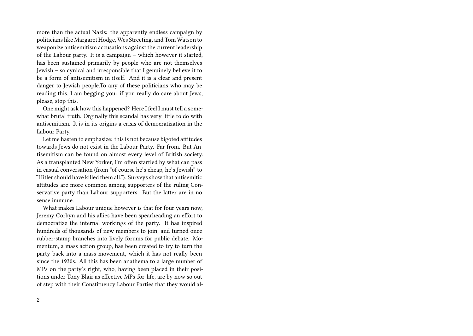more than the actual Nazis: the apparently endless campaign by politicians like Margaret Hodge, Wes Streeting, and Tom Watson to weaponize antisemitism accusations against the current leadership of the Labour party. It is a campaign – which however it started, has been sustained primarily by people who are not themselves Jewish – so cynical and irresponsible that I genuinely believe it to be a form of antisemitism in itself. And it is a clear and present danger to Jewish people.To any of these politicians who may be reading this, I am begging you: if you really do care about Jews, please, stop this.

One might ask how this happened? Here I feel I must tell a somewhat brutal truth. Orginally this scandal has very little to do with antisemitism. It is in its origins a crisis of democratization in the Labour Party.

Let me hasten to emphasize: this is not because bigoted attitudes towards Jews do not exist in the Labour Party. Far from. But Antisemitism can be found on almost every level of British society. As a transplanted New Yorker, I'm often startled by what can pass in casual conversation (from "of course he's cheap, he's Jewish" to "Hitler should have killed them all."). Surveys show that antisemitic attitudes are more common among supporters of the ruling Conservative party than Labour supporters. But the latter are in no sense immune.

What makes Labour unique however is that for four years now, Jeremy Corbyn and his allies have been spearheading an effort to democratize the internal workings of the party. It has inspired hundreds of thousands of new members to join, and turned once rubber-stamp branches into lively forums for public debate. Momentum, a mass action group, has been created to try to turn the party back into a mass movement, which it has not really been since the 1930s. All this has been anathema to a large number of MPs on the party's right, who, having been placed in their positions under Tony Blair as effective MPs-for-life, are by now so out of step with their Constituency Labour Parties that they would al-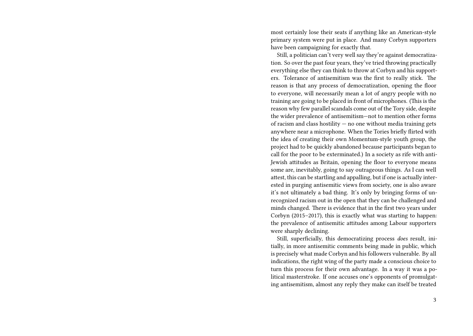most certainly lose their seats if anything like an American-style primary system were put in place. And many Corbyn supporters have been campaigning for exactly that.

Still, a politician can't very well say they're against democratization. So over the past four years, they've tried throwing practically everything else they can think to throw at Corbyn and his supporters. Tolerance of antisemitism was the first to really stick. The reason is that any process of democratization, opening the floor to everyone, will necessarily mean a lot of angry people with no training are going to be placed in front of microphones. (This is the reason why few parallel scandals come out of the Tory side, despite the wider prevalence of antisemitism—not to mention other forms of racism and class hostility  $-$  no one without media training gets anywhere near a microphone. When the Tories briefly flirted with the idea of creating their own Momentum-style youth group, the project had to be quickly abandoned because participants began to call for the poor to be exterminated.) In a society as rife with anti-Jewish attitudes as Britain, opening the floor to everyone means some are, inevitably, going to say outrageous things. As I can well attest, this can be startling and appalling, but if one is actually interested in purging antisemitic views from society, one is also aware it's not ultimately a bad thing. It's only by bringing forms of unrecognized racism out in the open that they can be challenged and minds changed. There is evidence that in the first two years under Corbyn (2015–2017), this is exactly what was starting to happen: the prevalence of antisemitic attitudes among Labour supporters were sharply declining.

Still, superficially, this democratizing process *does* result, initially, in more antisemitic comments being made in public, which is precisely what made Corbyn and his followers vulnerable. By all indications, the right wing of the party made a conscious choice to turn this process for their own advantage. In a way it was a political masterstroke. If one accuses one's opponents of promulgating antisemitism, almost any reply they make can itself be treated